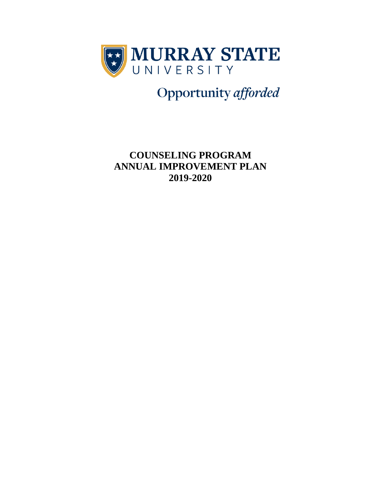

Opportunity afforded

**COUNSELING PROGRAM ANNUAL IMPROVEMENT PLAN 2019-2020**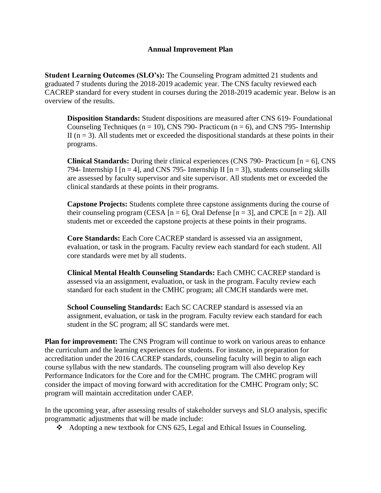## **Annual Improvement Plan**

**Student Learning Outcomes (SLO's):** The Counseling Program admitted 21 students and graduated 7 students during the 2018-2019 academic year. The CNS faculty reviewed each CACREP standard for every student in courses during the 2018-2019 academic year. Below is an overview of the results.

**Disposition Standards:** Student dispositions are measured after CNS 619- Foundational Counseling Techniques ( $n = 10$ ), CNS 790- Practicum ( $n = 6$ ), and CNS 795- Internship II ( $n = 3$ ). All students met or exceeded the dispositional standards at these points in their programs.

**Clinical Standards:** During their clinical experiences (CNS 790- Practicum [n = 6], CNS 794- Internship I  $[n = 4]$ , and CNS 795- Internship II  $[n = 3]$ , students counseling skills are assessed by faculty supervisor and site supervisor. All students met or exceeded the clinical standards at these points in their programs.

**Capstone Projects:** Students complete three capstone assignments during the course of their counseling program (CESA  $[n = 6]$ , Oral Defense  $[n = 3]$ , and CPCE  $[n = 2]$ ). All students met or exceeded the capstone projects at these points in their programs.

**Core Standards:** Each Core CACREP standard is assessed via an assignment, evaluation, or task in the program. Faculty review each standard for each student. All core standards were met by all students.

**Clinical Mental Health Counseling Standards:** Each CMHC CACREP standard is assessed via an assignment, evaluation, or task in the program. Faculty review each standard for each student in the CMHC program; all CMCH standards were met.

**School Counseling Standards:** Each SC CACREP standard is assessed via an assignment, evaluation, or task in the program. Faculty review each standard for each student in the SC program; all SC standards were met.

**Plan for improvement:** The CNS Program will continue to work on various areas to enhance the curriculum and the learning experiences for students. For instance, in preparation for accreditation under the 2016 CACREP standards, counseling faculty will begin to align each course syllabus with the new standards. The counseling program will also develop Key Performance Indicators for the Core and for the CMHC program. The CMHC program will consider the impact of moving forward with accreditation for the CMHC Program only; SC program will maintain accreditation under CAEP.

In the upcoming year, after assessing results of stakeholder surveys and SLO analysis, specific programmatic adjustments that will be made include:

❖ Adopting a new textbook for CNS 625, Legal and Ethical Issues in Counseling.